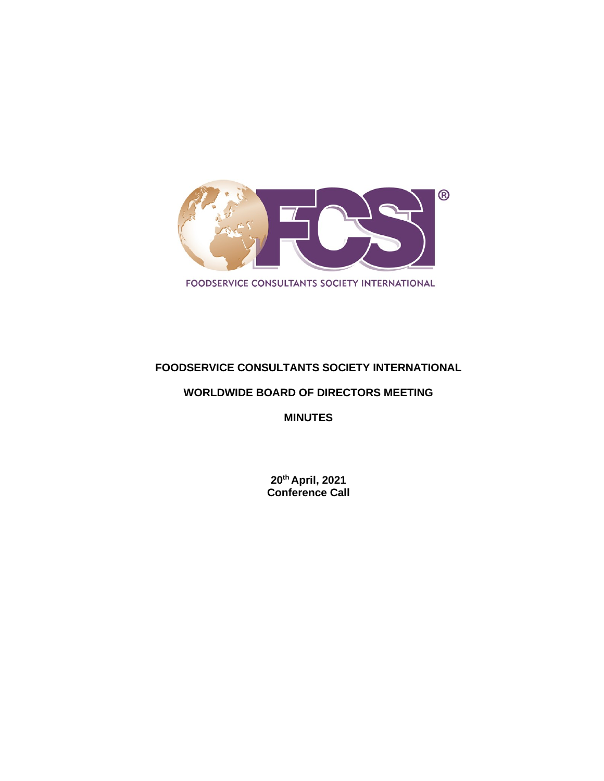

## **FOODSERVICE CONSULTANTS SOCIETY INTERNATIONAL**

#### **WORLDWIDE BOARD OF DIRECTORS MEETING**

**MINUTES**

**20th April, 2021 Conference Call**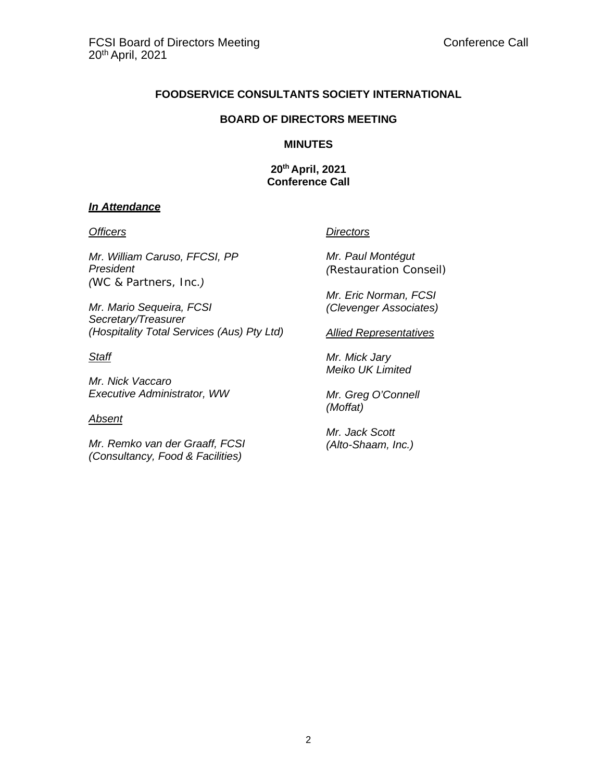#### **FOODSERVICE CONSULTANTS SOCIETY INTERNATIONAL**

#### **BOARD OF DIRECTORS MEETING**

#### **MINUTES**

**20th April, 2021 Conference Call**

#### *In Attendance*

*Mr. William Caruso, FFCSI, PP President (WC & Partners, Inc.)*

*Mr. Mario Sequeira, FCSI Secretary/Treasurer (Hospitality Total Services (Aus) Pty Ltd)*

#### *Staff*

*Mr. Nick Vaccaro Executive Administrator, WW*

#### *Absent*

*Mr. Remko van der Graaff, FCSI (Consultancy, Food & Facilities)*

#### *Officers Directors*

*Mr. Paul Montégut (Restauration Conseil)*

*Mr. Eric Norman, FCSI (Clevenger Associates)*

#### *Allied Representatives*

*Mr. Mick Jary Meiko UK Limited*

*Mr. Greg O'Connell (Moffat)*

*Mr. Jack Scott (Alto-Shaam, Inc.)*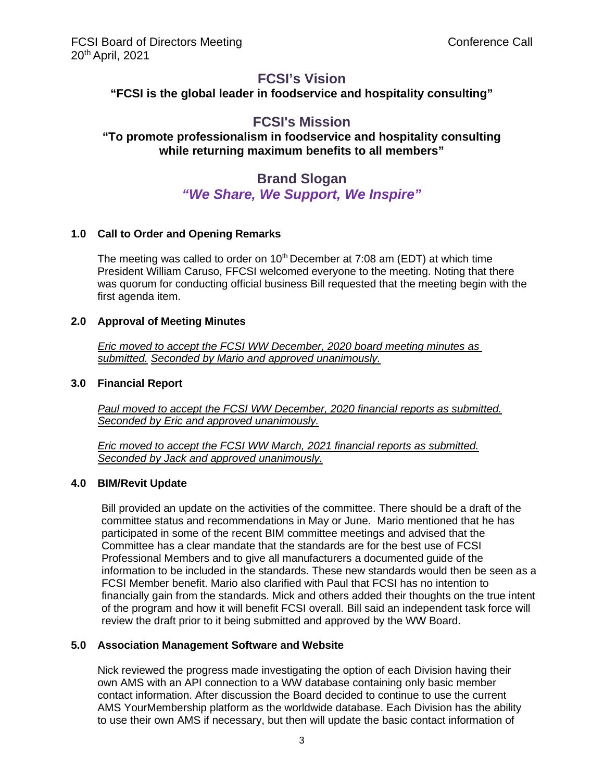# **FCSI's Vision**

**"FCSI is the global leader in foodservice and hospitality consulting"**

# **FCSI's Mission**

### **"To promote professionalism in foodservice and hospitality consulting while returning maximum benefits to all members"**

# **Brand Slogan** *"We Share, We Support, We Inspire"*

#### **1.0 Call to Order and Opening Remarks**

The meeting was called to order on  $10<sup>th</sup>$  December at 7:08 am (EDT) at which time President William Caruso, FFCSI welcomed everyone to the meeting. Noting that there was quorum for conducting official business Bill requested that the meeting begin with the first agenda item.

#### **2.0 Approval of Meeting Minutes**

*Eric moved to accept the FCSI WW December, 2020 board meeting minutes as submitted. Seconded by Mario and approved unanimously.*

#### **3.0 Financial Report**

*Paul moved to accept the FCSI WW December, 2020 financial reports as submitted. Seconded by Eric and approved unanimously.*

*Eric moved to accept the FCSI WW March, 2021 financial reports as submitted. Seconded by Jack and approved unanimously.*

#### **4.0 BIM/Revit Update**

Bill provided an update on the activities of the committee. There should be a draft of the committee status and recommendations in May or June. Mario mentioned that he has participated in some of the recent BIM committee meetings and advised that the Committee has a clear mandate that the standards are for the best use of FCSI Professional Members and to give all manufacturers a documented guide of the information to be included in the standards. These new standards would then be seen as a FCSI Member benefit. Mario also clarified with Paul that FCSI has no intention to financially gain from the standards. Mick and others added their thoughts on the true intent of the program and how it will benefit FCSI overall. Bill said an independent task force will review the draft prior to it being submitted and approved by the WW Board.

#### **5.0 Association Management Software and Website**

Nick reviewed the progress made investigating the option of each Division having their own AMS with an API connection to a WW database containing only basic member contact information. After discussion the Board decided to continue to use the current AMS YourMembership platform as the worldwide database. Each Division has the ability to use their own AMS if necessary, but then will update the basic contact information of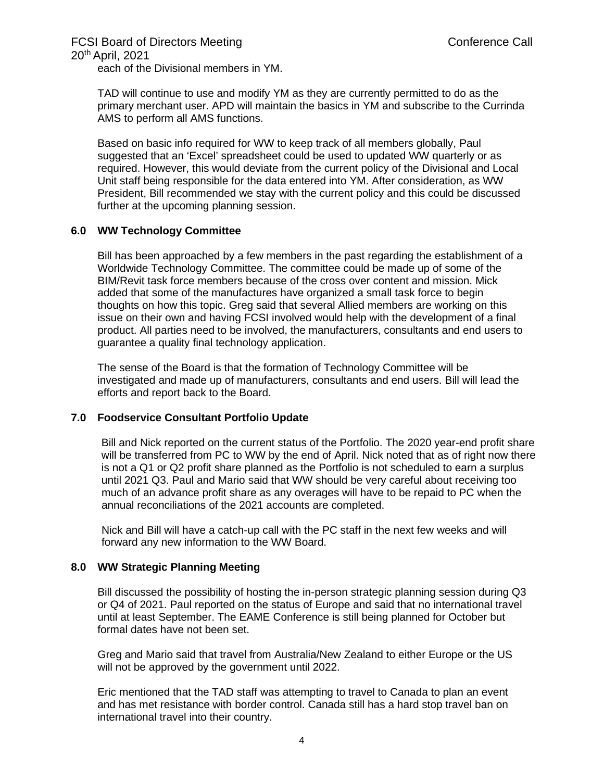# FCSI Board of Directors Meeting

20th April, 2021

each of the Divisional members in YM.

TAD will continue to use and modify YM as they are currently permitted to do as the primary merchant user. APD will maintain the basics in YM and subscribe to the Currinda AMS to perform all AMS functions.

Based on basic info required for WW to keep track of all members globally, Paul suggested that an 'Excel' spreadsheet could be used to updated WW quarterly or as required. However, this would deviate from the current policy of the Divisional and Local Unit staff being responsible for the data entered into YM. After consideration, as WW President, Bill recommended we stay with the current policy and this could be discussed further at the upcoming planning session.

#### **6.0 WW Technology Committee**

Bill has been approached by a few members in the past regarding the establishment of a Worldwide Technology Committee. The committee could be made up of some of the BIM/Revit task force members because of the cross over content and mission. Mick added that some of the manufactures have organized a small task force to begin thoughts on how this topic. Greg said that several Allied members are working on this issue on their own and having FCSI involved would help with the development of a final product. All parties need to be involved, the manufacturers, consultants and end users to guarantee a quality final technology application.

The sense of the Board is that the formation of Technology Committee will be investigated and made up of manufacturers, consultants and end users. Bill will lead the efforts and report back to the Board.

#### **7.0 Foodservice Consultant Portfolio Update**

Bill and Nick reported on the current status of the Portfolio. The 2020 year-end profit share will be transferred from PC to WW by the end of April. Nick noted that as of right now there is not a Q1 or Q2 profit share planned as the Portfolio is not scheduled to earn a surplus until 2021 Q3. Paul and Mario said that WW should be very careful about receiving too much of an advance profit share as any overages will have to be repaid to PC when the annual reconciliations of the 2021 accounts are completed.

Nick and Bill will have a catch-up call with the PC staff in the next few weeks and will forward any new information to the WW Board.

#### **8.0 WW Strategic Planning Meeting**

Bill discussed the possibility of hosting the in-person strategic planning session during Q3 or Q4 of 2021. Paul reported on the status of Europe and said that no international travel until at least September. The EAME Conference is still being planned for October but formal dates have not been set.

Greg and Mario said that travel from Australia/New Zealand to either Europe or the US will not be approved by the government until 2022.

Eric mentioned that the TAD staff was attempting to travel to Canada to plan an event and has met resistance with border control. Canada still has a hard stop travel ban on international travel into their country.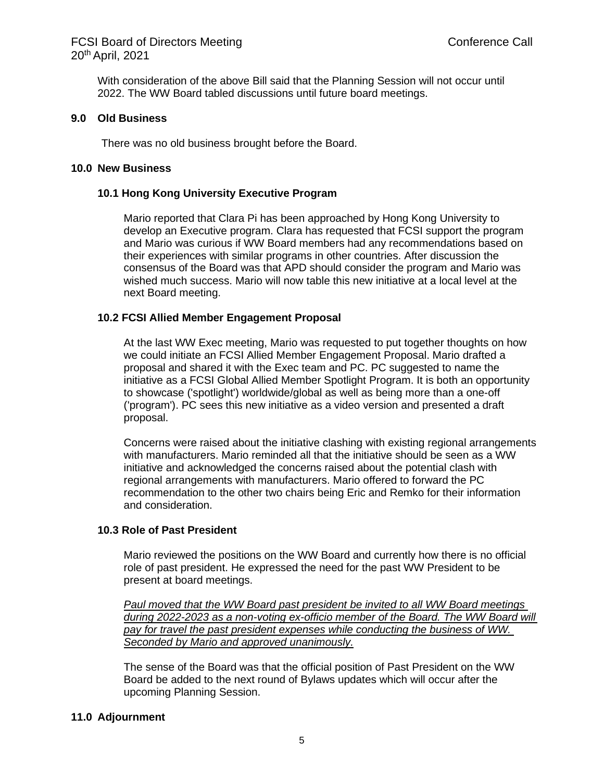With consideration of the above Bill said that the Planning Session will not occur until 2022. The WW Board tabled discussions until future board meetings.

#### **9.0 Old Business**

There was no old business brought before the Board.

#### **10.0 New Business**

#### **10.1 Hong Kong University Executive Program**

Mario reported that Clara Pi has been approached by Hong Kong University to develop an Executive program. Clara has requested that FCSI support the program and Mario was curious if WW Board members had any recommendations based on their experiences with similar programs in other countries. After discussion the consensus of the Board was that APD should consider the program and Mario was wished much success. Mario will now table this new initiative at a local level at the next Board meeting.

#### **10.2 FCSI Allied Member Engagement Proposal**

At the last WW Exec meeting, Mario was requested to put together thoughts on how we could initiate an FCSI Allied Member Engagement Proposal. Mario drafted a proposal and shared it with the Exec team and PC. PC suggested to name the initiative as a FCSI Global Allied Member Spotlight Program. It is both an opportunity to showcase ('spotlight') worldwide/global as well as being more than a one-off ('program'). PC sees this new initiative as a video version and presented a draft proposal.

Concerns were raised about the initiative clashing with existing regional arrangements with manufacturers. Mario reminded all that the initiative should be seen as a WW initiative and acknowledged the concerns raised about the potential clash with regional arrangements with manufacturers. Mario offered to forward the PC recommendation to the other two chairs being Eric and Remko for their information and consideration.

#### **10.3 Role of Past President**

Mario reviewed the positions on the WW Board and currently how there is no official role of past president. He expressed the need for the past WW President to be present at board meetings.

*Paul moved that the WW Board past president be invited to all WW Board meetings during 2022-2023 as a non-voting ex-officio member of the Board. The WW Board will pay for travel the past president expenses while conducting the business of WW. Seconded by Mario and approved unanimously.*

The sense of the Board was that the official position of Past President on the WW Board be added to the next round of Bylaws updates which will occur after the upcoming Planning Session.

#### **11.0 Adjournment**